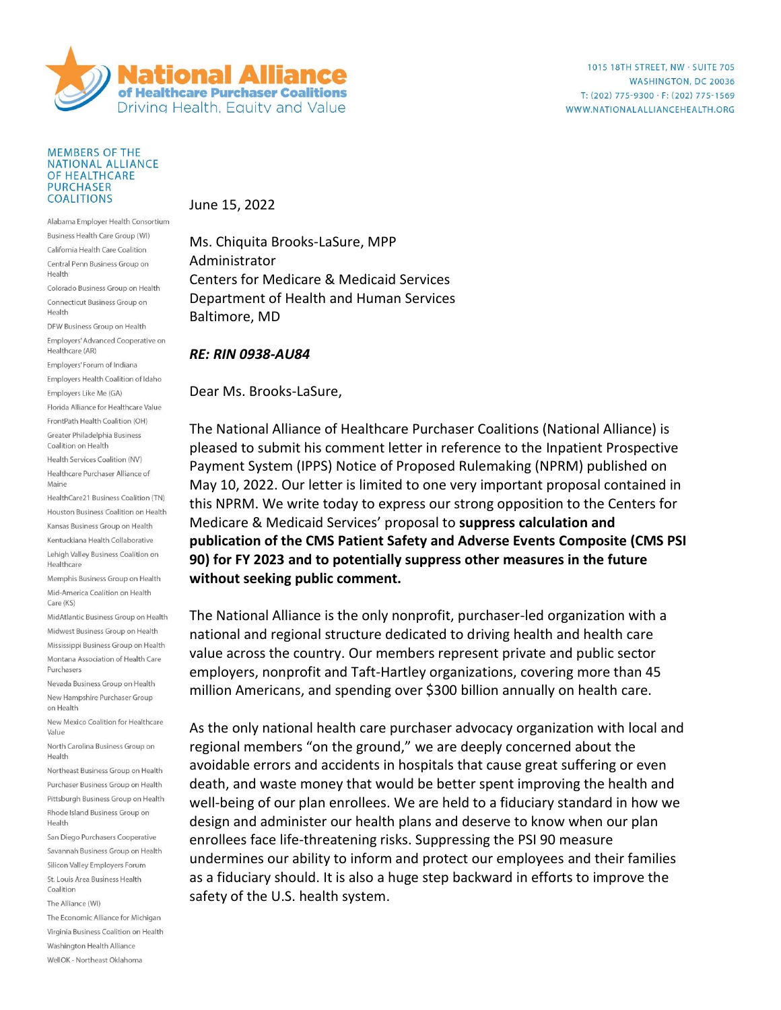

## **MEMBERS OF THE NATIONAL ALLIANCE** OF HEALTHCARE **PURCHASER COALITIONS**

Alabama Employer Health Consortium Business Health Care Group (WI) California Health Care Coalition Central Penn Business Group on Health Colorado Business Group on Health Connecticut Business Group on Health DFW Business Group on Health Employers' Advanced Cooperative on Healthcare (AR) Employers' Forum of Indiana Employers Health Coalition of Idaho Employers Like Me (GA) Florida Alliance for Healthcare Value FrontPath Health Coalition (OH) Greater Philadelphia Business Coalition on Health Health Services Coalition (NV) Healthcare Purchaser Alliance of Maine HealthCare21 Business Coalition (TN) Houston Business Coalition on Health Kansas Business Group on Health Kentuckiana Health Collaborative Lehigh Valley Business Coalition on Healthcare Memphis Business Group on Health Mid-America Coalition on Health Care (KS) MidAtlantic Business Group on Health Midwest Business Group on Health Mississippi Business Group on Health Montana Association of Health Care Purchasers Nevada Business Group on Health New Hampshire Purchaser Group on Health New Mexico Coalition for Healthcare Value North Carolina Business Group on Health Northeast Business Group on Health Purchaser Business Group on Health Pittsburgh Business Group on Health Rhode Island Business Group on Health San Diego Purchasers Cooperative Savannah Business Group on Health Silicon Valley Employers Forum St. Louis Area Business Health Coalition The Alliance (WI)

The Economic Alliance for Michigan Virginia Business Coalition on Health Washington Health Alliance WellOK - Northeast Oklahoma

June 15, 2022

Ms. Chiquita Brooks-LaSure, MPP Administrator Centers for Medicare & Medicaid Services Department of Health and Human Services Baltimore, MD

## *RE: RIN 0938-AU84*

Dear Ms. Brooks-LaSure,

The National Alliance of Healthcare Purchaser Coalitions (National Alliance) is pleased to submit his comment letter in reference to the Inpatient Prospective Payment System (IPPS) Notice of Proposed Rulemaking (NPRM) published on May 10, 2022. Our letter is limited to one very important proposal contained in this NPRM. We write today to express our strong opposition to the Centers for Medicare & Medicaid Services' proposal to **suppress calculation and publication of the CMS Patient Safety and Adverse Events Composite (CMS PSI 90) for FY 2023 and to potentially suppress other measures in the future without seeking public comment.** 

The National Alliance is the only nonprofit, purchaser-led organization with a national and regional structure dedicated to driving health and health care value across the country. Our members represent private and public sector employers, nonprofit and Taft-Hartley organizations, covering more than 45 million Americans, and spending over \$300 billion annually on health care.

As the only national health care purchaser advocacy organization with local and regional members "on the ground," we are deeply concerned about the avoidable errors and accidents in hospitals that cause great suffering or even death, and waste money that would be better spent improving the health and well-being of our plan enrollees. We are held to a fiduciary standard in how we design and administer our health plans and deserve to know when our plan enrollees face life-threatening risks. Suppressing the PSI 90 measure undermines our ability to inform and protect our employees and their families as a fiduciary should. It is also a huge step backward in efforts to improve the safety of the U.S. health system.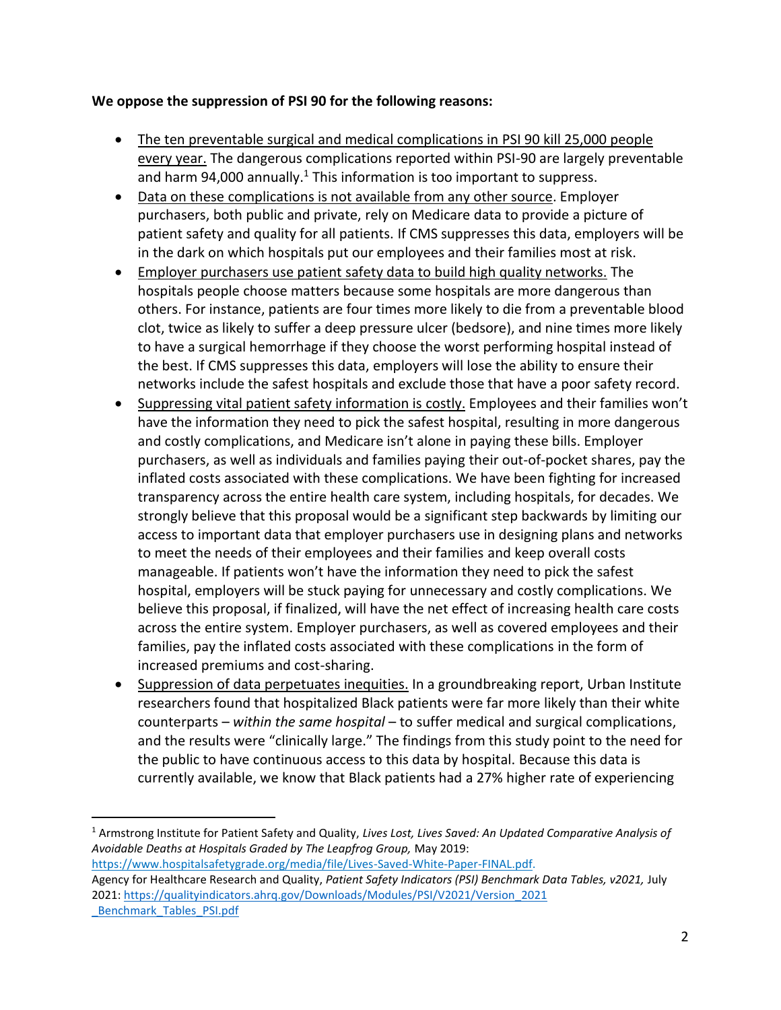## **We oppose the suppression of PSI 90 for the following reasons:**

- The ten preventable surgical and medical complications in PSI 90 kill 25,000 people every year. The dangerous complications reported within PSI-90 are largely preventable and harm 94,000 annually.<sup>1</sup> This information is too important to suppress.
- Data on these complications is not available from any other source. Employer purchasers, both public and private, rely on Medicare data to provide a picture of patient safety and quality for all patients. If CMS suppresses this data, employers will be in the dark on which hospitals put our employees and their families most at risk.
- Employer purchasers use patient safety data to build high quality networks. The hospitals people choose matters because some hospitals are more dangerous than others. For instance, patients are four times more likely to die from a preventable blood clot, twice as likely to suffer a deep pressure ulcer (bedsore), and nine times more likely to have a surgical hemorrhage if they choose the worst performing hospital instead of the best. If CMS suppresses this data, employers will lose the ability to ensure their networks include the safest hospitals and exclude those that have a poor safety record.
- Suppressing vital patient safety information is costly. Employees and their families won't have the information they need to pick the safest hospital, resulting in more dangerous and costly complications, and Medicare isn't alone in paying these bills. Employer purchasers, as well as individuals and families paying their out-of-pocket shares, pay the inflated costs associated with these complications. We have been fighting for increased transparency across the entire health care system, including hospitals, for decades. We strongly believe that this proposal would be a significant step backwards by limiting our access to important data that employer purchasers use in designing plans and networks to meet the needs of their employees and their families and keep overall costs manageable. If patients won't have the information they need to pick the safest hospital, employers will be stuck paying for unnecessary and costly complications. We believe this proposal, if finalized, will have the net effect of increasing health care costs across the entire system. Employer purchasers, as well as covered employees and their families, pay the inflated costs associated with these complications in the form of increased premiums and cost-sharing.
- Suppression of data perpetuates inequities. In a groundbreaking report, Urban Institute researchers found that hospitalized Black patients were far more likely than their white counterparts – *within the same hospital* – to suffer medical and surgical complications, and the results were "clinically large." The findings from this study point to the need for the public to have continuous access to this data by hospital. Because this data is currently available, we know that Black patients had a 27% higher rate of experiencing

[https://www.hospitalsafetygrade.org/media/file/Lives-Saved-White-Paper-FINAL.pdf.](https://www.hospitalsafetygrade.org/media/file/Lives-Saved-White-Paper-FINAL.pdf) Agency for Healthcare Research and Quality, *Patient Safety Indicators (PSI) Benchmark Data Tables, v2021,* July 2021: [https://qualityindicators.ahrq.gov/Downloads/Modules/PSI/V2021/Version\\_2021](https://qualityindicators.ahrq.gov/Downloads/Modules/PSI/V2021/Version_2021%20_Benchmark_Tables_PSI.pdf)  Benchmark Tables PSI.pdf

<sup>1</sup> Armstrong Institute for Patient Safety and Quality, *Lives Lost, Lives Saved: An Updated Comparative Analysis of Avoidable Deaths at Hospitals Graded by The Leapfrog Group,* May 2019: